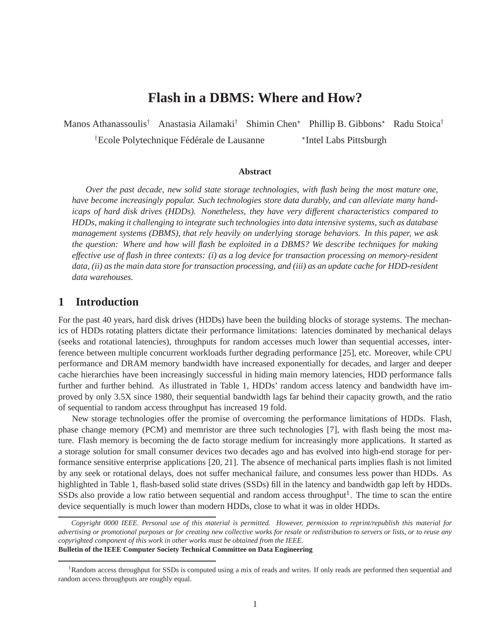# **Flash in a DBMS: Where and How?**

Manos Athanassoulis<sup>†</sup> Anastasia Ailamaki<sup>†</sup> Shimin Chen<sup>\*</sup> Phillip B. Gibbons<sup>\*</sup> Radu Stoica<sup>†</sup> <sup>†</sup>Ecole Polytechnique Fédérale de Lausanne \*Intel Labs Pittsburgh

**Abstract**

*Over the past decade, new solid state storage technologies, with flash being the most mature one, have become increasingly popular. Such technologies store data durably, and can alleviate many handicaps of hard disk drives (HDDs). Nonetheless, they have very different characteristics compared to HDDs, making it challenging to integrate such technologies into data intensive systems, such as database management systems (DBMS), that rely heavily on underlying storage behaviors. In this paper, we ask the question: Where and how will flash be exploited in a DBMS? We describe techniques for making effective use of flash in three contexts: (i) as a log device for transaction processing on memory-resident data, (ii) as the main data store for transaction processing, and (iii) as an update cache for HDD-resident data warehouses.*

### **1 Introduction**

For the past 40 years, hard disk drives (HDDs) have been the building blocks of storage systems. The mechanics of HDDs rotating platters dictate their performance limitations: latencies dominated by mechanical delays (seeks and rotational latencies), throughputs for random accesses much lower than sequential accesses, interference between multiple concurrent workloads further degrading performance [25], etc. Moreover, while CPU performance and DRAM memory bandwidth have increased exponentially for decades, and larger and deeper cache hierarchies have been increasingly successful in hiding main memory latencies, HDD performance falls further and further behind. As illustrated in Table 1, HDDs' random access latency and bandwidth have improved by only 3.5X since 1980, their sequential bandwidth lags far behind their capacity growth, and the ratio of sequential to random access throughput has increased 19 fold.

New storage technologies offer the promise of overcoming the performance limitations of HDDs. Flash, phase change memory (PCM) and memristor are three such technologies [7], with flash being the most mature. Flash memory is becoming the de facto storage medium for increasingly more applications. It started as a storage solution for small consumer devices two decades ago and has evolved into high-end storage for performance sensitive enterprise applications [20, 21]. The absence of mechanical parts implies flash is not limited by any seek or rotational delays, does not suffer mechanical failure, and consumes less power than HDDs. As highlighted in Table 1, flash-based solid state drives (SSDs) fill in the latency and bandwidth gap left by HDDs. SSDs also provide a low ratio between sequential and random access throughput<sup>1</sup>. The time to scan the entire device sequentially is much lower than modern HDDs, close to what it was in older HDDs.

*Copyright 0000 IEEE. Personal use of this material is permitted. However, permission to reprint/republish this material for advertising or promotional purposes or for creating new collective works for resale or redistribution to servers or lists, or to reuse any copyrighted component of this work in other works must be obtained from the IEEE.* **Bulletin of the IEEE Computer Society Technical Committee on Data Engineering**

<sup>&</sup>lt;sup>1</sup>Random access throughput for SSDs is computed using a mix of reads and writes. If only reads are performed then sequential and random access throughputs are roughly equal.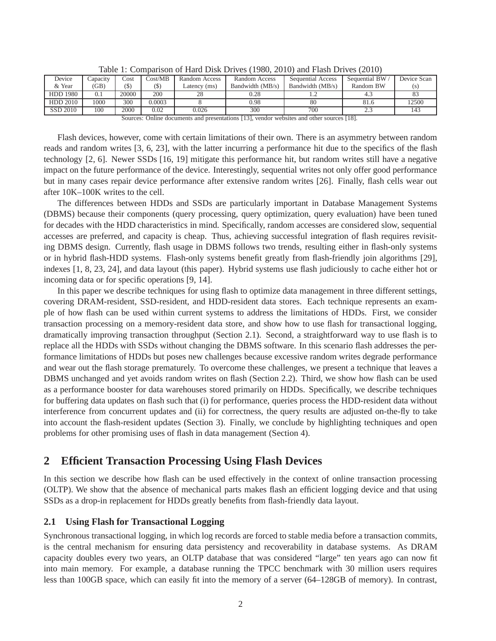| Device          | Capacity | Cost    | Cost/MB | Random Access | Random Access    | <b>Sequential Access</b> | Sequential BW | Device Scan |
|-----------------|----------|---------|---------|---------------|------------------|--------------------------|---------------|-------------|
| & Year          | (GB)     | $($ \$) | (S)     | Latency (ms)  | Bandwidth (MB/s) | Bandwidth (MB/s)         | Random BW     |             |
| <b>HDD 1980</b> | 0.1      | 20000   | 200     | 28            | 0.28             |                          |               |             |
| <b>HDD 2010</b> | 1000     | 300     | 0.0003  |               | 0.98             | 80                       | 81.6          | 12500       |
| SSD 2010        | 100      | 2000    | 0.02    | 0.026         | 300              | 700                      | ر. . ب        |             |

Table 1: Comparison of Hard Disk Drives (1980, 2010) and Flash Drives (2010)

Flash devices, however, come with certain limitations of their own. There is an asymmetry between random reads and random writes [3, 6, 23], with the latter incurring a performance hit due to the specifics of the flash technology [2, 6]. Newer SSDs [16, 19] mitigate this performance hit, but random writes still have a negative impact on the future performance of the device. Interestingly, sequential writes not only offer good performance but in many cases repair device performance after extensive random writes [26]. Finally, flash cells wear out after 10K–100K writes to the cell.

The differences between HDDs and SSDs are particularly important in Database Management Systems (DBMS) because their components (query processing, query optimization, query evaluation) have been tuned for decades with the HDD characteristics in mind. Specifically, random accesses are considered slow, sequential accesses are preferred, and capacity is cheap. Thus, achieving successful integration of flash requires revisiting DBMS design. Currently, flash usage in DBMS follows two trends, resulting either in flash-only systems or in hybrid flash-HDD systems. Flash-only systems benefit greatly from flash-friendly join algorithms [29], indexes [1, 8, 23, 24], and data layout (this paper). Hybrid systems use flash judiciously to cache either hot or incoming data or for specific operations [9, 14].

In this paper we describe techniques for using flash to optimize data management in three different settings, covering DRAM-resident, SSD-resident, and HDD-resident data stores. Each technique represents an example of how flash can be used within current systems to address the limitations of HDDs. First, we consider transaction processing on a memory-resident data store, and show how to use flash for transactional logging, dramatically improving transaction throughput (Section 2.1). Second, a straightforward way to use flash is to replace all the HDDs with SSDs without changing the DBMS software. In this scenario flash addresses the performance limitations of HDDs but poses new challenges because excessive random writes degrade performance and wear out the flash storage prematurely. To overcome these challenges, we present a technique that leaves a DBMS unchanged and yet avoids random writes on flash (Section 2.2). Third, we show how flash can be used as a performance booster for data warehouses stored primarily on HDDs. Specifically, we describe techniques for buffering data updates on flash such that (i) for performance, queries process the HDD-resident data without interference from concurrent updates and (ii) for correctness, the query results are adjusted on-the-fly to take into account the flash-resident updates (Section 3). Finally, we conclude by highlighting techniques and open problems for other promising uses of flash in data management (Section 4).

## **2 Efficient Transaction Processing Using Flash Devices**

In this section we describe how flash can be used effectively in the context of online transaction processing (OLTP). We show that the absence of mechanical parts makes flash an efficient logging device and that using SSDs as a drop-in replacement for HDDs greatly benefits from flash-friendly data layout.

#### **2.1 Using Flash for Transactional Logging**

Synchronous transactional logging, in which log records are forced to stable media before a transaction commits, is the central mechanism for ensuring data persistency and recoverability in database systems. As DRAM capacity doubles every two years, an OLTP database that was considered "large" ten years ago can now fit into main memory. For example, a database running the TPCC benchmark with 30 million users requires less than 100GB space, which can easily fit into the memory of a server (64–128GB of memory). In contrast,

Sources: Online documents and presentations [13], vendor websites and other sources [18].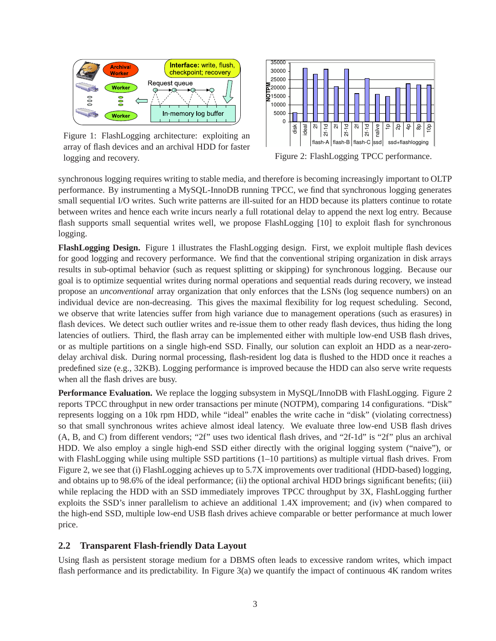

Figure 1: FlashLogging architecture: exploiting an array of flash devices and an archival HDD for faster logging and recovery.



Figure 2: FlashLogging TPCC performance.

synchronous logging requires writing to stable media, and therefore is becoming increasingly important to OLTP performance. By instrumenting a MySQL-InnoDB running TPCC, we find that synchronous logging generates small sequential I/O writes. Such write patterns are ill-suited for an HDD because its platters continue to rotate between writes and hence each write incurs nearly a full rotational delay to append the next log entry. Because flash supports small sequential writes well, we propose FlashLogging [10] to exploit flash for synchronous logging.

**FlashLogging Design.** Figure 1 illustrates the FlashLogging design. First, we exploit multiple flash devices for good logging and recovery performance. We find that the conventional striping organization in disk arrays results in sub-optimal behavior (such as request splitting or skipping) for synchronous logging. Because our goal is to optimize sequential writes during normal operations and sequential reads during recovery, we instead propose an *unconventional* array organization that only enforces that the LSNs (log sequence numbers) on an individual device are non-decreasing. This gives the maximal flexibility for log request scheduling. Second, we observe that write latencies suffer from high variance due to management operations (such as erasures) in flash devices. We detect such outlier writes and re-issue them to other ready flash devices, thus hiding the long latencies of outliers. Third, the flash array can be implemented either with multiple low-end USB flash drives, or as multiple partitions on a single high-end SSD. Finally, our solution can exploit an HDD as a near-zerodelay archival disk. During normal processing, flash-resident log data is flushed to the HDD once it reaches a predefined size (e.g., 32KB). Logging performance is improved because the HDD can also serve write requests when all the flash drives are busy.

**Performance Evaluation.** We replace the logging subsystem in MySQL/InnoDB with FlashLogging. Figure 2 reports TPCC throughput in new order transactions per minute (NOTPM), comparing 14 configurations. "Disk" represents logging on a 10k rpm HDD, while "ideal" enables the write cache in "disk" (violating correctness) so that small synchronous writes achieve almost ideal latency. We evaluate three low-end USB flash drives (A, B, and C) from different vendors; "2f" uses two identical flash drives, and "2f-1d" is "2f" plus an archival HDD. We also employ a single high-end SSD either directly with the original logging system ("naive"), or with FlashLogging while using multiple SSD partitions (1–10 partitions) as multiple virtual flash drives. From Figure 2, we see that (i) FlashLogging achieves up to 5.7X improvements over traditional (HDD-based) logging, and obtains up to 98.6% of the ideal performance; (ii) the optional archival HDD brings significant benefits; (iii) while replacing the HDD with an SSD immediately improves TPCC throughput by 3X, FlashLogging further exploits the SSD's inner parallelism to achieve an additional 1.4X improvement; and (iv) when compared to the high-end SSD, multiple low-end USB flash drives achieve comparable or better performance at much lower price.

#### **2.2 Transparent Flash-friendly Data Layout**

Using flash as persistent storage medium for a DBMS often leads to excessive random writes, which impact flash performance and its predictability. In Figure 3(a) we quantify the impact of continuous 4K random writes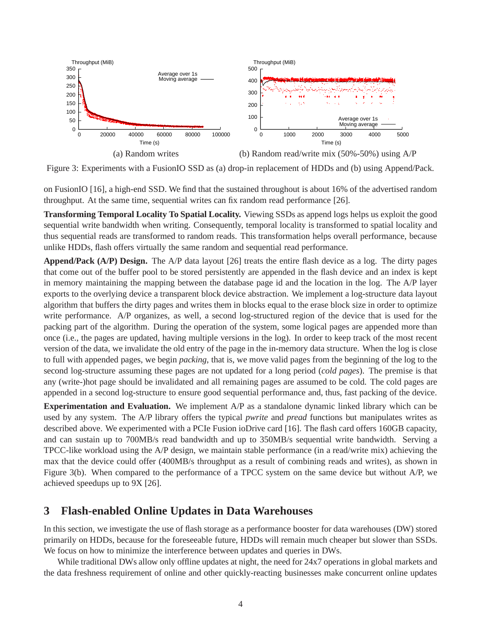

Figure 3: Experiments with a FusionIO SSD as (a) drop-in replacement of HDDs and (b) using Append/Pack.

on FusionIO [16], a high-end SSD. We find that the sustained throughout is about 16% of the advertised random throughput. At the same time, sequential writes can fix random read performance [26].

**Transforming Temporal Locality To Spatial Locality.** Viewing SSDs as append logs helps us exploit the good sequential write bandwidth when writing. Consequently, temporal locality is transformed to spatial locality and thus sequential reads are transformed to random reads. This transformation helps overall performance, because unlike HDDs, flash offers virtually the same random and sequential read performance.

**Append/Pack (A/P) Design.** The A/P data layout [26] treats the entire flash device as a log. The dirty pages that come out of the buffer pool to be stored persistently are appended in the flash device and an index is kept in memory maintaining the mapping between the database page id and the location in the log. The A/P layer exports to the overlying device a transparent block device abstraction. We implement a log-structure data layout algorithm that buffers the dirty pages and writes them in blocks equal to the erase block size in order to optimize write performance. A/P organizes, as well, a second log-structured region of the device that is used for the packing part of the algorithm. During the operation of the system, some logical pages are appended more than once (i.e., the pages are updated, having multiple versions in the log). In order to keep track of the most recent version of the data, we invalidate the old entry of the page in the in-memory data structure. When the log is close to full with appended pages, we begin *packing*, that is, we move valid pages from the beginning of the log to the second log-structure assuming these pages are not updated for a long period (*cold pages*). The premise is that any (write-)hot page should be invalidated and all remaining pages are assumed to be cold. The cold pages are appended in a second log-structure to ensure good sequential performance and, thus, fast packing of the device.

**Experimentation and Evaluation.** We implement A/P as a standalone dynamic linked library which can be used by any system. The A/P library offers the typical *pwrite* and *pread* functions but manipulates writes as described above. We experimented with a PCIe Fusion ioDrive card [16]. The flash card offers 160GB capacity, and can sustain up to 700MB/s read bandwidth and up to 350MB/s sequential write bandwidth. Serving a TPCC-like workload using the A/P design, we maintain stable performance (in a read/write mix) achieving the max that the device could offer (400MB/s throughput as a result of combining reads and writes), as shown in Figure 3(b). When compared to the performance of a TPCC system on the same device but without A/P, we achieved speedups up to 9X [26].

## **3 Flash-enabled Online Updates in Data Warehouses**

In this section, we investigate the use of flash storage as a performance booster for data warehouses (DW) stored primarily on HDDs, because for the foreseeable future, HDDs will remain much cheaper but slower than SSDs. We focus on how to minimize the interference between updates and queries in DWs.

While traditional DWs allow only offline updates at night, the need for 24x7 operations in global markets and the data freshness requirement of online and other quickly-reacting businesses make concurrent online updates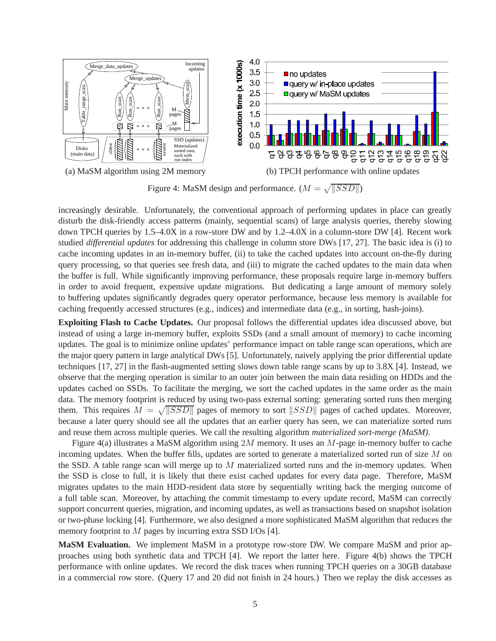

Figure 4: MaSM design and performance.  $(M = \sqrt{||SSD||})$ 

increasingly desirable. Unfortunately, the conventional approach of performing updates in place can greatly disturb the disk-friendly access patterns (mainly, sequential scans) of large analysis queries, thereby slowing down TPCH queries by 1.5–4.0X in a row-store DW and by 1.2–4.0X in a column-store DW [4]. Recent work studied *differential updates* for addressing this challenge in column store DWs [17, 27]. The basic idea is (i) to cache incoming updates in an in-memory buffer, (ii) to take the cached updates into account on-the-fly during query processing, so that queries see fresh data, and (iii) to migrate the cached updates to the main data when the buffer is full. While significantly improving performance, these proposals require large in-memory buffers in order to avoid frequent, expensive update migrations. But dedicating a large amount of memory solely to buffering updates significantly degrades query operator performance, because less memory is available for caching frequently accessed structures (e.g., indices) and intermediate data (e.g., in sorting, hash-joins).

**Exploiting Flash to Cache Updates.** Our proposal follows the differential updates idea discussed above, but instead of using a large in-memory buffer, exploits SSDs (and a small amount of memory) to cache incoming updates. The goal is to minimize online updates' performance impact on table range scan operations, which are the major query pattern in large analytical DWs [5]. Unfortunately, naively applying the prior differential update techniques [17, 27] in the flash-augmented setting slows down table range scans by up to 3.8X [4]. Instead, we observe that the merging operation is similar to an outer join between the main data residing on HDDs and the updates cached on SSDs. To facilitate the merging, we sort the cached updates in the same order as the main data. The memory footprint is reduced by using two-pass external sorting: generating sorted runs then merging them. This requires  $M = \sqrt{SSD}$  pages of memory to sort  $SSD$  pages of cached updates. Moreover, because a later query should see all the updates that an earlier query has seen, we can materialize sorted runs and reuse them across multiple queries. We call the resulting algorithm *materialized sort-merge (MaSM)*.

Figure 4(a) illustrates a MaSM algorithm using 2M memory. It uses an M-page in-memory buffer to cache incoming updates. When the buffer fills, updates are sorted to generate a materialized sorted run of size M on the SSD. A table range scan will merge up to  $M$  materialized sorted runs and the in-memory updates. When the SSD is close to full, it is likely that there exist cached updates for every data page. Therefore, MaSM migrates updates to the main HDD-resident data store by sequentially writing back the merging outcome of a full table scan. Moreover, by attaching the commit timestamp to every update record, MaSM can correctly support concurrent queries, migration, and incoming updates, as well as transactions based on snapshot isolation or two-phase locking [4]. Furthermore, we also designed a more sophisticated MaSM algorithm that reduces the memory footprint to M pages by incurring extra SSD I/Os [4].

**MaSM Evaluation.** We implement MaSM in a prototype row-store DW. We compare MaSM and prior approaches using both synthetic data and TPCH [4]. We report the latter here. Figure 4(b) shows the TPCH performance with online updates. We record the disk traces when running TPCH queries on a 30GB database in a commercial row store. (Query 17 and 20 did not finish in 24 hours.) Then we replay the disk accesses as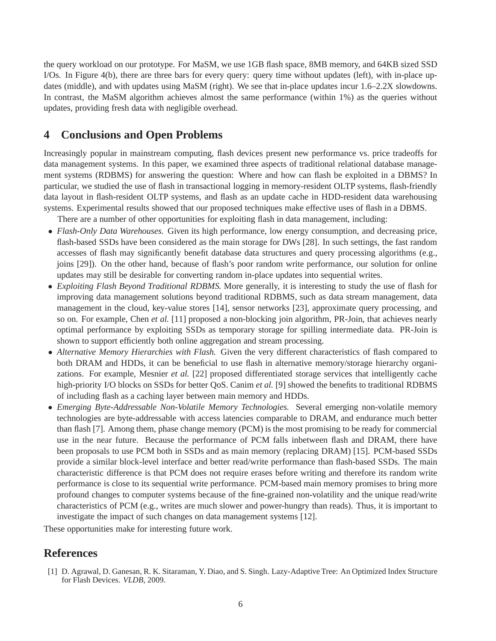the query workload on our prototype. For MaSM, we use 1GB flash space, 8MB memory, and 64KB sized SSD I/Os. In Figure 4(b), there are three bars for every query: query time without updates (left), with in-place updates (middle), and with updates using MaSM (right). We see that in-place updates incur 1.6–2.2X slowdowns. In contrast, the MaSM algorithm achieves almost the same performance (within 1%) as the queries without updates, providing fresh data with negligible overhead.

## **4 Conclusions and Open Problems**

Increasingly popular in mainstream computing, flash devices present new performance vs. price tradeoffs for data management systems. In this paper, we examined three aspects of traditional relational database management systems (RDBMS) for answering the question: Where and how can flash be exploited in a DBMS? In particular, we studied the use of flash in transactional logging in memory-resident OLTP systems, flash-friendly data layout in flash-resident OLTP systems, and flash as an update cache in HDD-resident data warehousing systems. Experimental results showed that our proposed techniques make effective uses of flash in a DBMS.

There are a number of other opportunities for exploiting flash in data management, including:

- *Flash-Only Data Warehouses*. Given its high performance, low energy consumption, and decreasing price, flash-based SSDs have been considered as the main storage for DWs [28]. In such settings, the fast random accesses of flash may significantly benefit database data structures and query processing algorithms (e.g., joins [29]). On the other hand, because of flash's poor random write performance, our solution for online updates may still be desirable for converting random in-place updates into sequential writes.
- *Exploiting Flash Beyond Traditional RDBMS.* More generally, it is interesting to study the use of flash for improving data management solutions beyond traditional RDBMS, such as data stream management, data management in the cloud, key-value stores [14], sensor networks [23], approximate query processing, and so on. For example, Chen *et al.* [11] proposed a non-blocking join algorithm, PR-Join, that achieves nearly optimal performance by exploiting SSDs as temporary storage for spilling intermediate data. PR-Join is shown to support efficiently both online aggregation and stream processing.
- *Alternative Memory Hierarchies with Flash.* Given the very different characteristics of flash compared to both DRAM and HDDs, it can be beneficial to use flash in alternative memory/storage hierarchy organizations. For example, Mesnier *et al.* [22] proposed differentiated storage services that intelligently cache high-priority I/O blocks on SSDs for better QoS. Canim *et al.* [9] showed the benefits to traditional RDBMS of including flash as a caching layer between main memory and HDDs.
- *Emerging Byte-Addressable Non-Volatile Memory Technologies.* Several emerging non-volatile memory technologies are byte-addressable with access latencies comparable to DRAM, and endurance much better than flash [7]. Among them, phase change memory (PCM) is the most promising to be ready for commercial use in the near future. Because the performance of PCM falls inbetween flash and DRAM, there have been proposals to use PCM both in SSDs and as main memory (replacing DRAM) [15]. PCM-based SSDs provide a similar block-level interface and better read/write performance than flash-based SSDs. The main characteristic difference is that PCM does not require erases before writing and therefore its random write performance is close to its sequential write performance. PCM-based main memory promises to bring more profound changes to computer systems because of the fine-grained non-volatility and the unique read/write characteristics of PCM (e.g., writes are much slower and power-hungry than reads). Thus, it is important to investigate the impact of such changes on data management systems [12].

These opportunities make for interesting future work.

## **References**

[1] D. Agrawal, D. Ganesan, R. K. Sitaraman, Y. Diao, and S. Singh. Lazy-Adaptive Tree: An Optimized Index Structure for Flash Devices. *VLDB*, 2009.